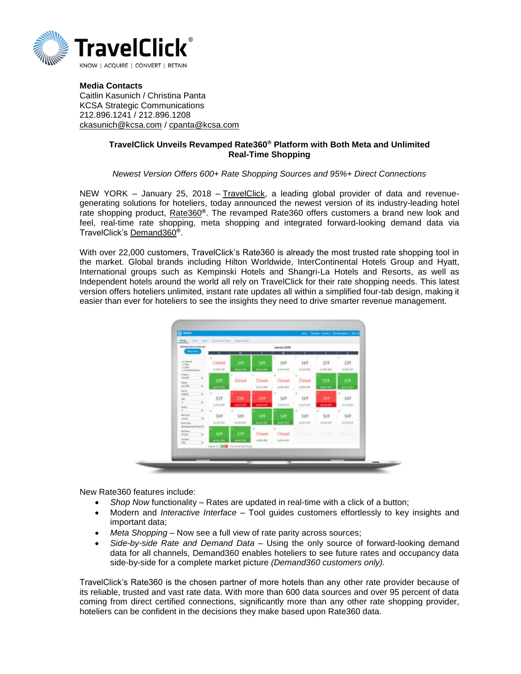

**Media Contacts** Caitlin Kasunich / Christina Panta KCSA Strategic Communications 212.896.1241 / 212.896.1208 [ckasunich@kcsa.com](mailto:ckasunich@kcsa.com) / [cpanta@kcsa.com](mailto:cpanta@kcsa.com)

## **TravelClick Unveils Revamped Rate360® Platform with Both Meta and Unlimited Real-Time Shopping**

## *Newest Version Offers 600+ Rate Shopping Sources and 95%+ Direct Connections*

NEW YORK - January 25, 2018 - [TravelClick,](http://www.travelclick.com/) a leading global provider of data and revenuegenerating solutions for hoteliers, today announced the newest version of its industry-leading hotel rate shopping product, [Rate360](http://go.travelclick.com/rate360)**®**. The revamped Rate360 offers customers a brand new look and feel, real-time rate shopping, meta shopping and integrated forward-looking demand data via TravelClick's [Demand360](https://www.travelclick.com/demand360.html)**®**.

With over 22,000 customers, TravelClick's Rate360 is already the most trusted rate shopping tool in the market. Global brands including Hilton Worldwide, InterContinental Hotels Group and Hyatt, International groups such as Kempinski Hotels and Shangri-La Hotels and Resorts, as well as Independent hotels around the world all rely on TravelClick for their rate shopping needs. This latest version offers hoteliers unlimited, instant rate updates all within a simplified four-tab design, making it easier than ever for hoteliers to see the insights they need to drive smarter revenue management.



New Rate360 features include:

- *Shop Now* functionality Rates are updated in real-time with a click of a button;
- Modern and *Interactive Interface –* Tool guides customers effortlessly to key insights and important data;
- *Meta Shopping –* Now see a full view of rate parity across sources;
- *Side-by-side Rate and Demand Data*  Using the only source of forward-looking demand data for all channels, Demand360 enables hoteliers to see future rates and occupancy data side-by-side for a complete market picture *(Demand360 customers only).*

TravelClick's Rate360 is the chosen partner of more hotels than any other rate provider because of its reliable, trusted and vast rate data. With more than 600 data sources and over 95 percent of data coming from direct certified connections, significantly more than any other rate shopping provider, hoteliers can be confident in the decisions they make based upon Rate360 data.